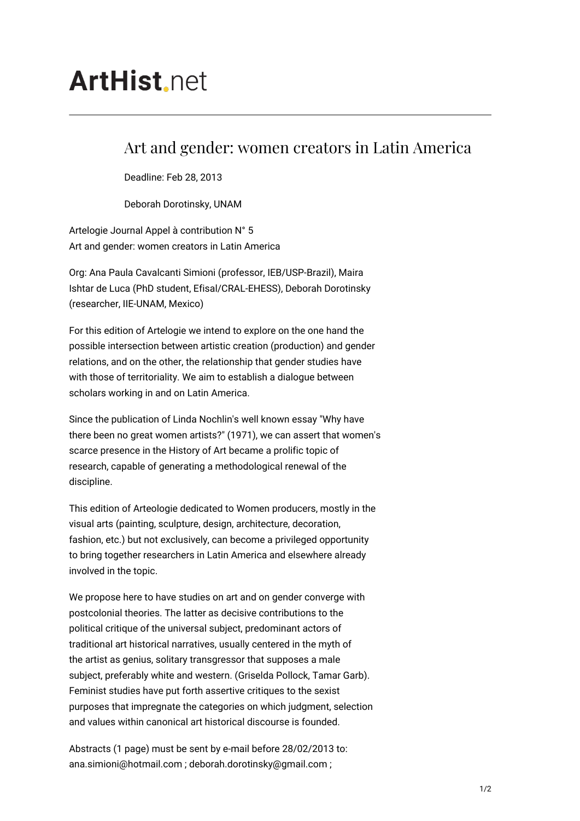## **ArtHist** net

## Art and gender: women creators in Latin America

Deadline: Feb 28, 2013

Deborah Dorotinsky, UNAM

Artelogie Journal Appel à contribution N° 5 Art and gender: women creators in Latin America

Org: Ana Paula Cavalcanti Simioni (professor, IEB/USP-Brazil), Maira Ishtar de Luca (PhD student, Efisal/CRAL-EHESS), Deborah Dorotinsky (researcher, IIE-UNAM, Mexico)

For this edition of Artelogie we intend to explore on the one hand the possible intersection between artistic creation (production) and gender relations, and on the other, the relationship that gender studies have with those of territoriality. We aim to establish a dialogue between scholars working in and on Latin America.

Since the publication of Linda Nochlin's well known essay "Why have there been no great women artists?" (1971), we can assert that women's scarce presence in the History of Art became a prolific topic of research, capable of generating a methodological renewal of the discipline.

This edition of Arteologie dedicated to Women producers, mostly in the visual arts (painting, sculpture, design, architecture, decoration, fashion, etc.) but not exclusively, can become a privileged opportunity to bring together researchers in Latin America and elsewhere already involved in the topic.

We propose here to have studies on art and on gender converge with postcolonial theories. The latter as decisive contributions to the political critique of the universal subject, predominant actors of traditional art historical narratives, usually centered in the myth of the artist as genius, solitary transgressor that supposes a male subject, preferably white and western. (Griselda Pollock, Tamar Garb). Feminist studies have put forth assertive critiques to the sexist purposes that impregnate the categories on which judgment, selection and values within canonical art historical discourse is founded.

Abstracts (1 page) must be sent by e-mail before 28/02/2013 to: ana.simioni@hotmail.com ; deborah.dorotinsky@gmail.com ;